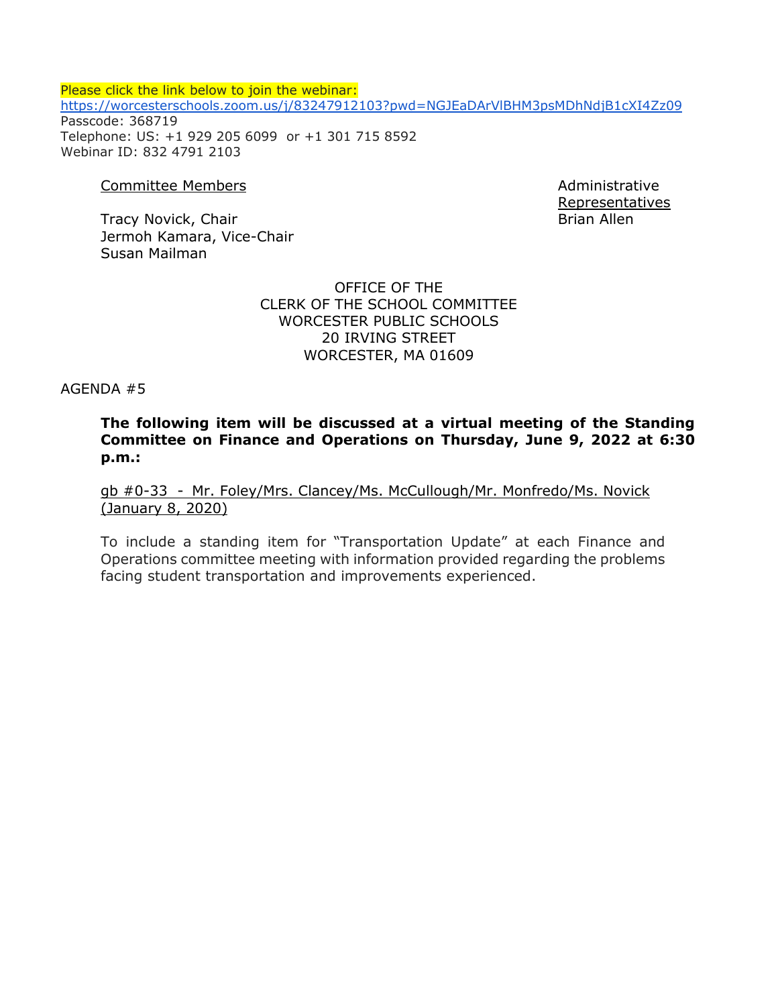Please click the link below to join the webinar: <https://worcesterschools.zoom.us/j/83247912103?pwd=NGJEaDArVlBHM3psMDhNdjB1cXI4Zz09> Passcode: 368719 Telephone: US: +1 929 205 6099 or +1 301 715 8592 Webinar ID: 832 4791 2103

#### Committee Members **Administrative** Committee Members **Administrative**

Tracy Novick, Chair Brian Allen Jermoh Kamara, Vice-Chair Susan Mailman

Representatives

OFFICE OF THE CLERK OF THE SCHOOL COMMITTEE WORCESTER PUBLIC SCHOOLS 20 IRVING STREET WORCESTER, MA 01609

AGENDA #5

**The following item will be discussed at a virtual meeting of the Standing Committee on Finance and Operations on Thursday, June 9, 2022 at 6:30 p.m.:**

gb #0-33 - Mr. Foley/Mrs. Clancey/Ms. McCullough/Mr. Monfredo/Ms. Novick (January 8, 2020)

To include a standing item for "Transportation Update" at each Finance and Operations committee meeting with information provided regarding the problems facing student transportation and improvements experienced.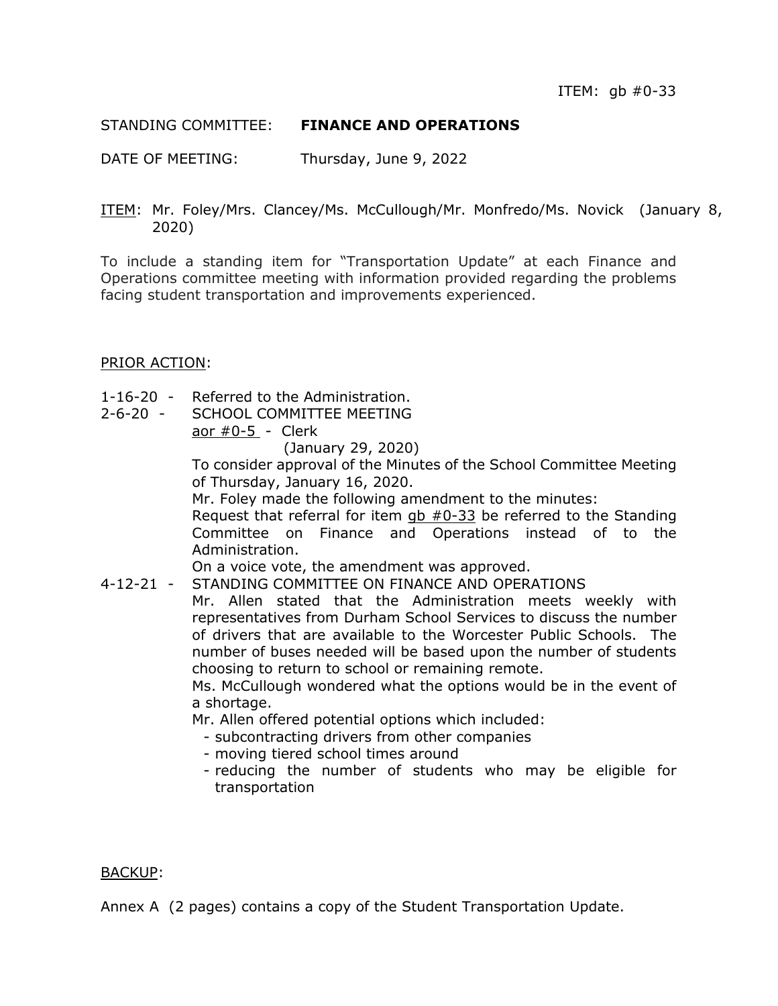## STANDING COMMITTEE: **FINANCE AND OPERATIONS**

DATE OF MEETING: Thursday, June 9, 2022

ITEM: Mr. Foley/Mrs. Clancey/Ms. McCullough/Mr. Monfredo/Ms. Novick (January 8, 2020)

To include a standing item for "Transportation Update" at each Finance and Operations committee meeting with information provided regarding the problems facing student transportation and improvements experienced.

### PRIOR ACTION:

- 1-16-20 Referred to the Administration.
- 2-6-20 SCHOOL COMMITTEE MEETING aor  $#0-5$  - Clerk

(January 29, 2020)

To consider approval of the Minutes of the School Committee Meeting of Thursday, January 16, 2020.

Mr. Foley made the following amendment to the minutes:

Request that referral for item  $q_{\text{D}}$  #0-33 be referred to the Standing Committee on Finance and Operations instead of to the Administration.

On a voice vote, the amendment was approved.

4-12-21 - STANDING COMMITTEE ON FINANCE AND OPERATIONS

Mr. Allen stated that the Administration meets weekly with representatives from Durham School Services to discuss the number of drivers that are available to the Worcester Public Schools. The number of buses needed will be based upon the number of students choosing to return to school or remaining remote.

Ms. McCullough wondered what the options would be in the event of a shortage.

Mr. Allen offered potential options which included:

- subcontracting drivers from other companies
- moving tiered school times around
- reducing the number of students who may be eligible for transportation

### BACKUP:

Annex A (2 pages) contains a copy of the Student Transportation Update.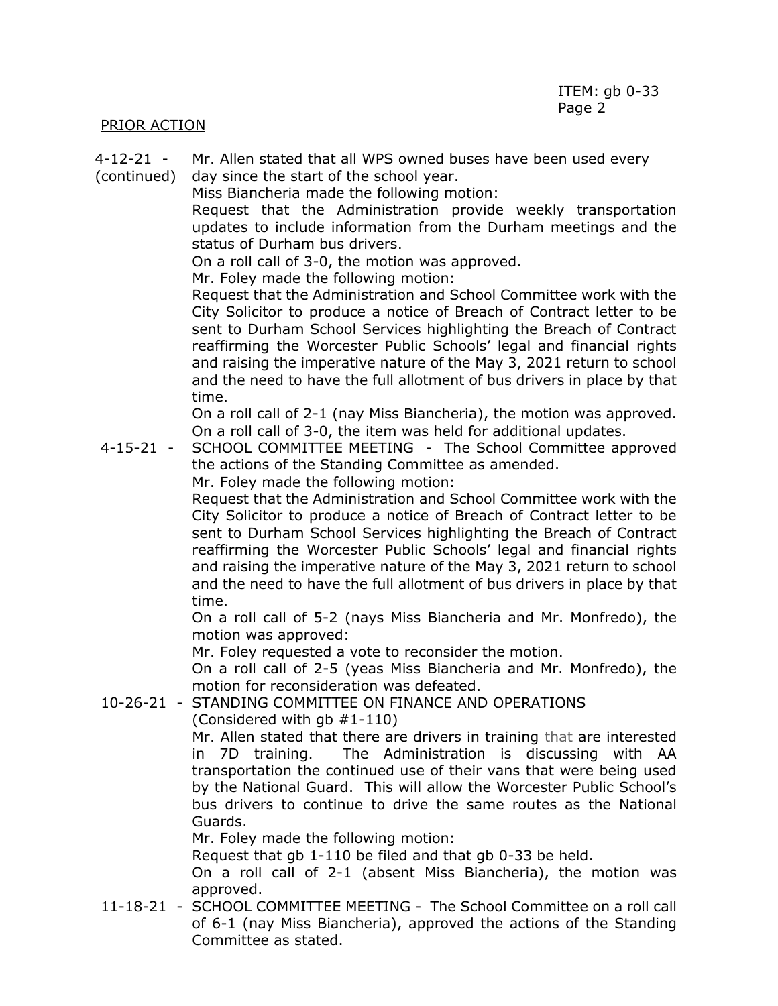### PRIOR ACTION

- 4-12-21 Mr. Allen stated that all WPS owned buses have been used every
- (continued) day since the start of the school year.

Miss Biancheria made the following motion:

Request that the Administration provide weekly transportation updates to include information from the Durham meetings and the status of Durham bus drivers.

On a roll call of 3-0, the motion was approved.

Mr. Foley made the following motion:

Request that the Administration and School Committee work with the City Solicitor to produce a notice of Breach of Contract letter to be sent to Durham School Services highlighting the Breach of Contract reaffirming the Worcester Public Schools' legal and financial rights and raising the imperative nature of the May 3, 2021 return to school and the need to have the full allotment of bus drivers in place by that time.

On a roll call of 2-1 (nay Miss Biancheria), the motion was approved. On a roll call of 3-0, the item was held for additional updates.

4-15-21 - SCHOOL COMMITTEE MEETING - The School Committee approved the actions of the Standing Committee as amended.

Mr. Foley made the following motion:

Request that the Administration and School Committee work with the City Solicitor to produce a notice of Breach of Contract letter to be sent to Durham School Services highlighting the Breach of Contract reaffirming the Worcester Public Schools' legal and financial rights and raising the imperative nature of the May 3, 2021 return to school and the need to have the full allotment of bus drivers in place by that time.

On a roll call of 5-2 (nays Miss Biancheria and Mr. Monfredo), the motion was approved:

Mr. Foley requested a vote to reconsider the motion.

On a roll call of 2-5 (yeas Miss Biancheria and Mr. Monfredo), the motion for reconsideration was defeated.

10-26-21 - STANDING COMMITTEE ON FINANCE AND OPERATIONS

(Considered with gb #1-110)

Mr. Allen stated that there are drivers in training that are interested in 7D training. The Administration is discussing with AA transportation the continued use of their vans that were being used by the National Guard. This will allow the Worcester Public School's bus drivers to continue to drive the same routes as the National Guards.

Mr. Foley made the following motion:

Request that gb 1-110 be filed and that gb 0-33 be held.

On a roll call of 2-1 (absent Miss Biancheria), the motion was approved.

11-18-21 - SCHOOL COMMITTEE MEETING - The School Committee on a roll call of 6-1 (nay Miss Biancheria), approved the actions of the Standing Committee as stated.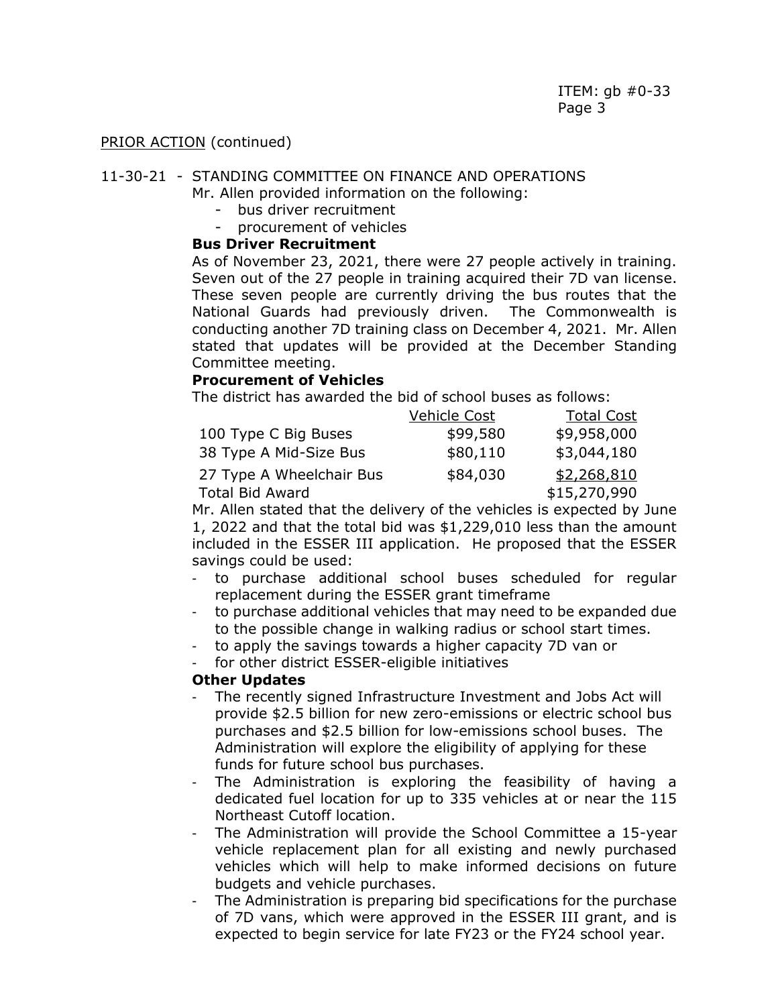#### 11-30-21 - STANDING COMMITTEE ON FINANCE AND OPERATIONS

Mr. Allen provided information on the following:

- bus driver recruitment
- procurement of vehicles

### **Bus Driver Recruitment**

As of November 23, 2021, there were 27 people actively in training. Seven out of the 27 people in training acquired their 7D van license. These seven people are currently driving the bus routes that the National Guards had previously driven. The Commonwealth is conducting another 7D training class on December 4, 2021. Mr. Allen stated that updates will be provided at the December Standing Committee meeting.

### **Procurement of Vehicles**

The district has awarded the bid of school buses as follows:

|                          | Vehicle Cost | <b>Total Cost</b> |
|--------------------------|--------------|-------------------|
| 100 Type C Big Buses     | \$99,580     | \$9,958,000       |
| 38 Type A Mid-Size Bus   | \$80,110     | \$3,044,180       |
| 27 Type A Wheelchair Bus | \$84,030     | \$2,268,810       |
| <b>Total Bid Award</b>   |              | \$15,270,990      |

Mr. Allen stated that the delivery of the vehicles is expected by June 1, 2022 and that the total bid was \$1,229,010 less than the amount included in the ESSER III application. He proposed that the ESSER savings could be used:

- to purchase additional school buses scheduled for regular replacement during the ESSER grant timeframe
- to purchase additional vehicles that may need to be expanded due to the possible change in walking radius or school start times.
- to apply the savings towards a higher capacity 7D van or
- for other district ESSER-eligible initiatives

### **Other Updates**

- The recently signed Infrastructure Investment and Jobs Act will provide \$2.5 billion for new zero-emissions or electric school bus purchases and \$2.5 billion for low-emissions school buses. The Administration will explore the eligibility of applying for these funds for future school bus purchases.
- The Administration is exploring the feasibility of having a dedicated fuel location for up to 335 vehicles at or near the 115 Northeast Cutoff location.
- The Administration will provide the School Committee a 15-year vehicle replacement plan for all existing and newly purchased vehicles which will help to make informed decisions on future budgets and vehicle purchases.
- The Administration is preparing bid specifications for the purchase of 7D vans, which were approved in the ESSER III grant, and is expected to begin service for late FY23 or the FY24 school year.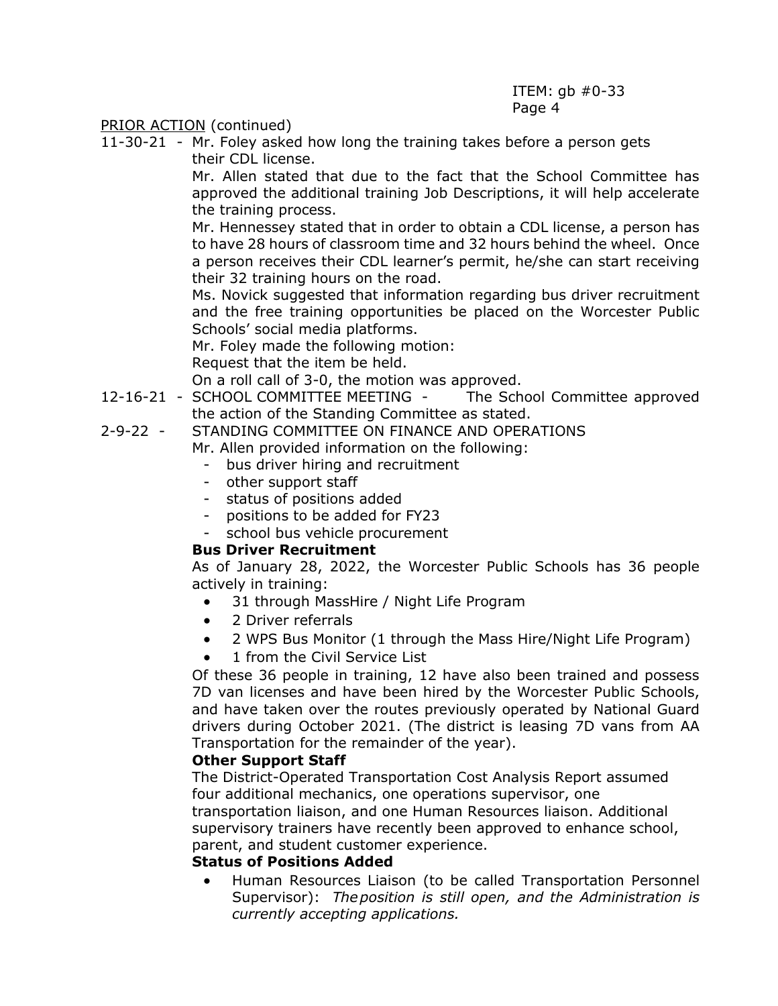11-30-21 - Mr. Foley asked how long the training takes before a person gets their CDL license.

Mr. Allen stated that due to the fact that the School Committee has approved the additional training Job Descriptions, it will help accelerate the training process.

Mr. Hennessey stated that in order to obtain a CDL license, a person has to have 28 hours of classroom time and 32 hours behind the wheel. Once a person receives their CDL learner's permit, he/she can start receiving their 32 training hours on the road.

Ms. Novick suggested that information regarding bus driver recruitment and the free training opportunities be placed on the Worcester Public Schools' social media platforms.

Mr. Foley made the following motion:

Request that the item be held.

On a roll call of 3-0, the motion was approved.

- 12-16-21 SCHOOL COMMITTEE MEETING The School Committee approved the action of the Standing Committee as stated.
- 2-9-22 STANDING COMMITTEE ON FINANCE AND OPERATIONS

Mr. Allen provided information on the following:

- bus driver hiring and recruitment
- other support staff
- status of positions added
- positions to be added for FY23
- school bus vehicle procurement

### **Bus Driver Recruitment**

As of January 28, 2022, the Worcester Public Schools has 36 people actively in training:

- 31 through MassHire / Night Life Program
- 2 Driver referrals
- 2 WPS Bus Monitor (1 through the Mass Hire/Night Life Program)
- 1 from the Civil Service List

Of these 36 people in training, 12 have also been trained and possess 7D van licenses and have been hired by the Worcester Public Schools, and have taken over the routes previously operated by National Guard drivers during October 2021. (The district is leasing 7D vans from AA Transportation for the remainder of the year).

### **Other Support Staff**

The District-Operated Transportation Cost Analysis Report assumed four additional mechanics, one operations supervisor, one

transportation liaison, and one Human Resources liaison. Additional supervisory trainers have recently been approved to enhance school, parent, and student customer experience.

### **Status of Positions Added**

 Human Resources Liaison (to be called Transportation Personnel Supervisor): *Theposition is still open, and the Administration is currently accepting applications.*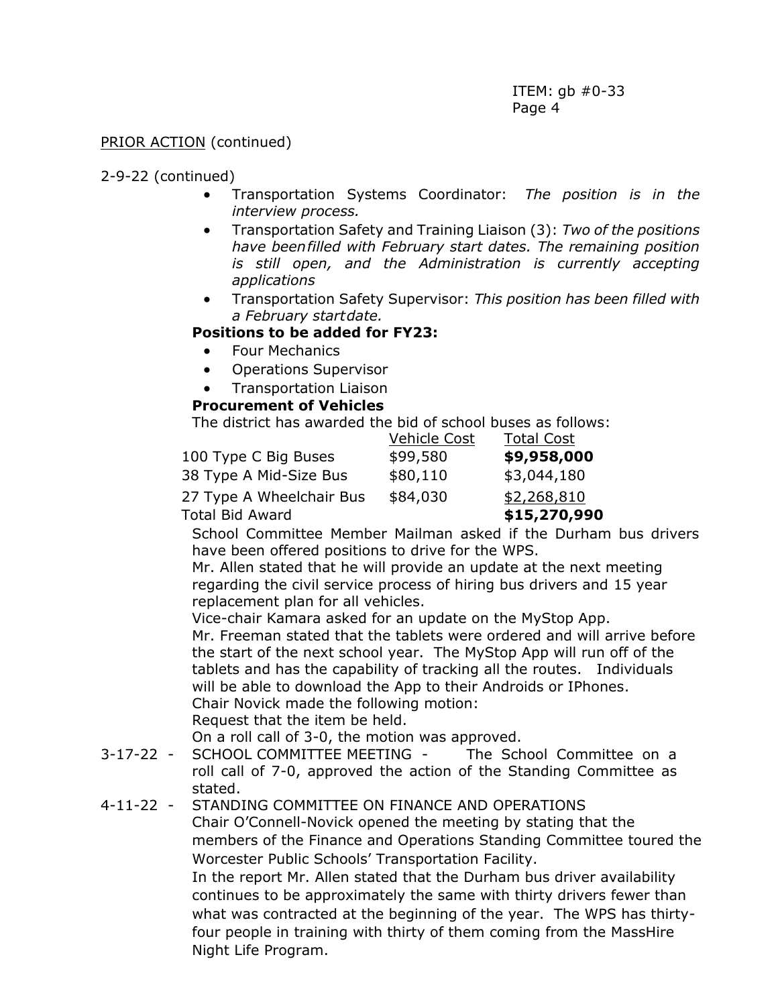### 2-9-22 (continued)

- Transportation Systems Coordinator: *The position is in the interview process.*
- Transportation Safety and Training Liaison (3): *Two of the positions have beenfilled with February start dates. The remaining position is still open, and the Administration is currently accepting applications*
- Transportation Safety Supervisor: *This position has been filled with a February startdate.*

# **Positions to be added for FY23:**

- **•** Four Mechanics
- Operations Supervisor
- Transportation Liaison

## **Procurement of Vehicles**

The district has awarded the bid of school buses as follows:

|                          | <b>Vehicle Cost</b> | <b>Total Cost</b> |
|--------------------------|---------------------|-------------------|
| 100 Type C Big Buses     | \$99,580            | \$9,958,000       |
| 38 Type A Mid-Size Bus   | \$80,110            | \$3,044,180       |
| 27 Type A Wheelchair Bus | \$84,030            | \$2,268,810       |
| <b>Total Bid Award</b>   |                     | \$15,270,990      |

School Committee Member Mailman asked if the Durham bus drivers have been offered positions to drive for the WPS.

Mr. Allen stated that he will provide an update at the next meeting regarding the civil service process of hiring bus drivers and 15 year replacement plan for all vehicles.

Vice-chair Kamara asked for an update on the MyStop App.

Mr. Freeman stated that the tablets were ordered and will arrive before the start of the next school year. The MyStop App will run off of the tablets and has the capability of tracking all the routes. Individuals will be able to download the App to their Androids or IPhones. Chair Novick made the following motion:

Request that the item be held.

On a roll call of 3-0, the motion was approved.

3-17-22 - SCHOOL COMMITTEE MEETING - The School Committee on a roll call of 7-0, approved the action of the Standing Committee as stated.

## 4-11-22 - STANDING COMMITTEE ON FINANCE AND OPERATIONS

Chair O'Connell-Novick opened the meeting by stating that the members of the Finance and Operations Standing Committee toured the Worcester Public Schools' Transportation Facility.

In the report Mr. Allen stated that the Durham bus driver availability continues to be approximately the same with thirty drivers fewer than what was contracted at the beginning of the year. The WPS has thirtyfour people in training with thirty of them coming from the MassHire Night Life Program.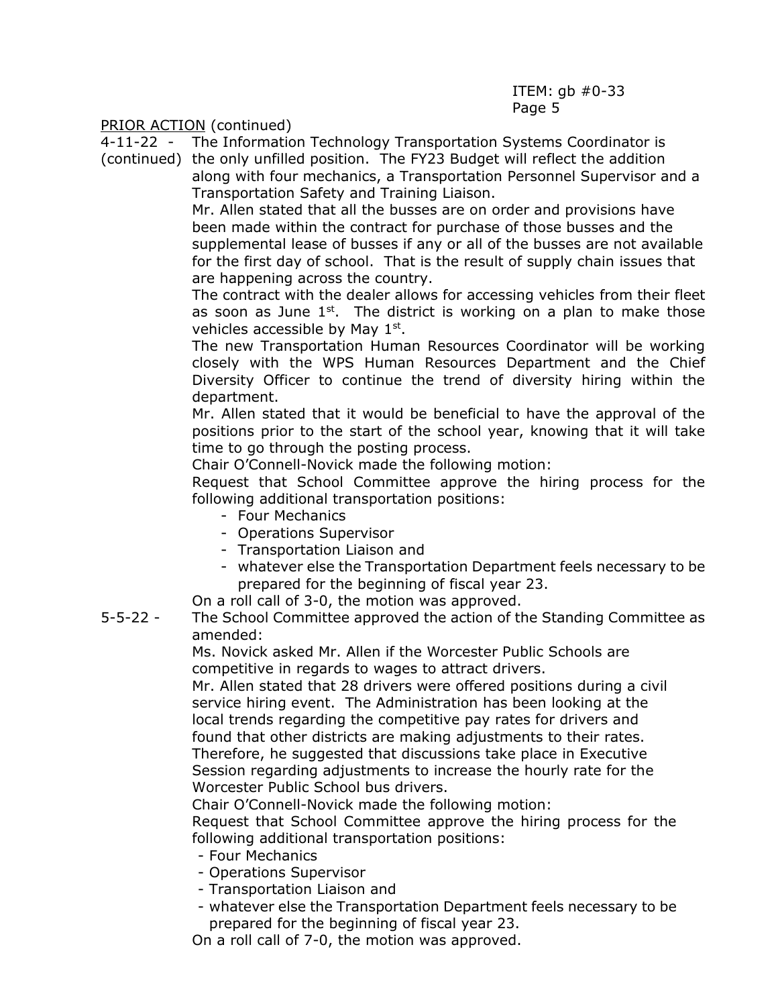4-11-22 - The Information Technology Transportation Systems Coordinator is

(continued) the only unfilled position. The FY23 Budget will reflect the addition along with four mechanics, a Transportation Personnel Supervisor and a Transportation Safety and Training Liaison.

> Mr. Allen stated that all the busses are on order and provisions have been made within the contract for purchase of those busses and the supplemental lease of busses if any or all of the busses are not available for the first day of school. That is the result of supply chain issues that are happening across the country.

> The contract with the dealer allows for accessing vehicles from their fleet as soon as June  $1<sup>st</sup>$ . The district is working on a plan to make those vehicles accessible by May 1st.

> The new Transportation Human Resources Coordinator will be working closely with the WPS Human Resources Department and the Chief Diversity Officer to continue the trend of diversity hiring within the department.

> Mr. Allen stated that it would be beneficial to have the approval of the positions prior to the start of the school year, knowing that it will take time to go through the posting process.

Chair O'Connell-Novick made the following motion:

Request that School Committee approve the hiring process for the following additional transportation positions:

- Four Mechanics
- Operations Supervisor
- Transportation Liaison and
- whatever else the Transportation Department feels necessary to be prepared for the beginning of fiscal year 23.

On a roll call of 3-0, the motion was approved.

5-5-22 - The School Committee approved the action of the Standing Committee as amended:

Ms. Novick asked Mr. Allen if the Worcester Public Schools are competitive in regards to wages to attract drivers.

Mr. Allen stated that 28 drivers were offered positions during a civil service hiring event. The Administration has been looking at the local trends regarding the competitive pay rates for drivers and found that other districts are making adjustments to their rates. Therefore, he suggested that discussions take place in Executive Session regarding adjustments to increase the hourly rate for the Worcester Public School bus drivers.

Chair O'Connell-Novick made the following motion:

Request that School Committee approve the hiring process for the following additional transportation positions:

- Four Mechanics
- Operations Supervisor
- Transportation Liaison and
- whatever else the Transportation Department feels necessary to be prepared for the beginning of fiscal year 23.

On a roll call of 7-0, the motion was approved.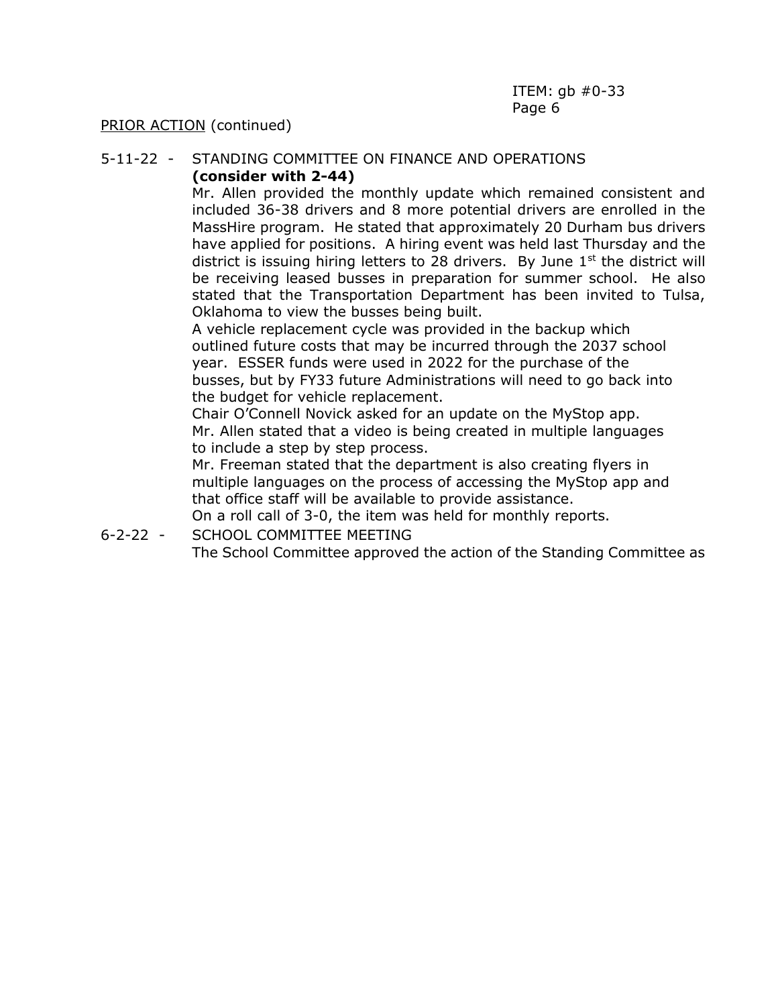#### 5-11-22 - STANDING COMMITTEE ON FINANCE AND OPERATIONS **(consider with 2-44)**

Mr. Allen provided the monthly update which remained consistent and included 36-38 drivers and 8 more potential drivers are enrolled in the MassHire program. He stated that approximately 20 Durham bus drivers have applied for positions. A hiring event was held last Thursday and the district is issuing hiring letters to 28 drivers. By June  $1<sup>st</sup>$  the district will be receiving leased busses in preparation for summer school. He also stated that the Transportation Department has been invited to Tulsa, Oklahoma to view the busses being built.

A vehicle replacement cycle was provided in the backup which outlined future costs that may be incurred through the 2037 school year. ESSER funds were used in 2022 for the purchase of the busses, but by FY33 future Administrations will need to go back into the budget for vehicle replacement.

Chair O'Connell Novick asked for an update on the MyStop app. Mr. Allen stated that a video is being created in multiple languages to include a step by step process.

Mr. Freeman stated that the department is also creating flyers in multiple languages on the process of accessing the MyStop app and that office staff will be available to provide assistance.

On a roll call of 3-0, the item was held for monthly reports.

6-2-22 - SCHOOL COMMITTEE MEETING

The School Committee approved the action of the Standing Committee as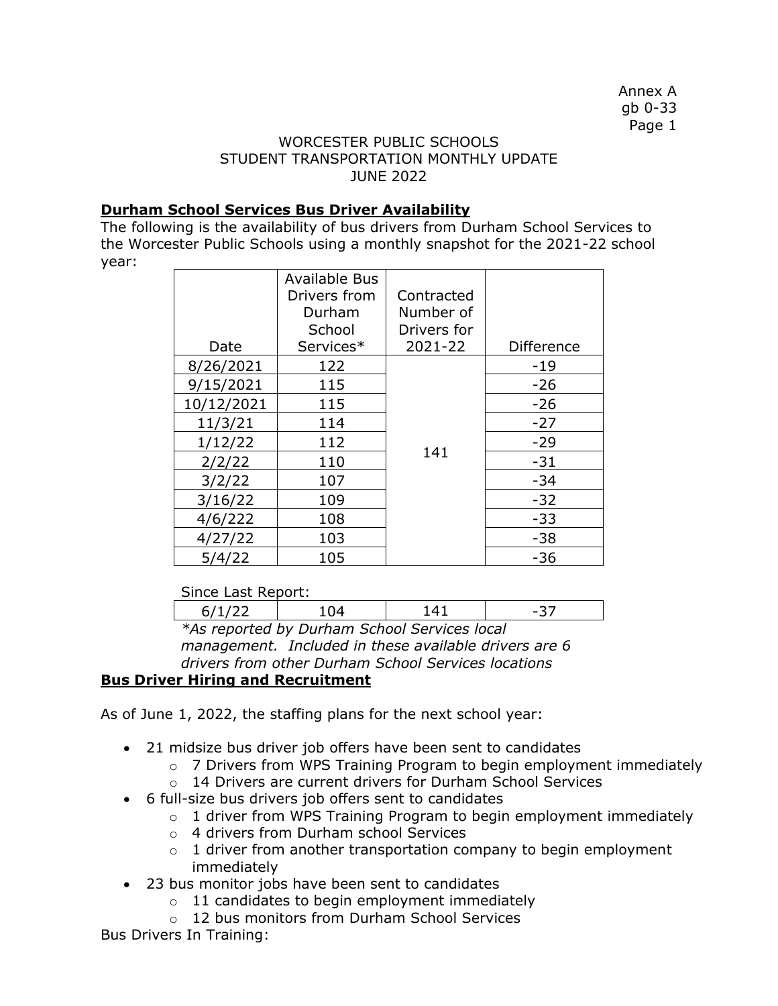Annex A gb 0-33 Page 1

### WORCESTER PUBLIC SCHOOLS STUDENT TRANSPORTATION MONTHLY UPDATE JUNE 2022

### **Durham School Services Bus Driver Availability**

The following is the availability of bus drivers from Durham School Services to the Worcester Public Schools using a monthly snapshot for the 2021-22 school year:

|            | <b>Available Bus</b> |             |                   |
|------------|----------------------|-------------|-------------------|
|            | Drivers from         | Contracted  |                   |
|            | Durham               | Number of   |                   |
|            | School               | Drivers for |                   |
| Date       | Services*            | 2021-22     | <b>Difference</b> |
| 8/26/2021  | 122                  |             | -19               |
| 9/15/2021  | 115                  |             | $-26$             |
| 10/12/2021 | 115                  |             | $-26$             |
| 11/3/21    | 114                  |             | $-27$             |
| 1/12/22    | 112                  |             | $-29$             |
| 2/2/22     | 110                  | 141         | $-31$             |
| 3/2/22     | 107                  |             | -34               |
| 3/16/22    | 109                  |             | $-32$             |
| 4/6/222    | 108                  |             | $-33$             |
| 4/27/22    | 103                  |             | $-38$             |
| 5/4/22     | 105                  |             | -36               |

### Since Last Report:

| Since Last Report.                            |  |  |  |  |  |
|-----------------------------------------------|--|--|--|--|--|
|                                               |  |  |  |  |  |
| the reparted by Durbane Cabaal Capitage legal |  |  |  |  |  |

*\*As reported by Durham School Services local management. Included in these available drivers are 6 drivers from other Durham School Services locations*

# **Bus Driver Hiring and Recruitment**

As of June 1, 2022, the staffing plans for the next school year:

- 21 midsize bus driver job offers have been sent to candidates
	- o 7 Drivers from WPS Training Program to begin employment immediately
	- o 14 Drivers are current drivers for Durham School Services
- 6 full-size bus drivers job offers sent to candidates
	- o 1 driver from WPS Training Program to begin employment immediately
	- o 4 drivers from Durham school Services
	- $\circ$  1 driver from another transportation company to begin employment immediately
- 23 bus monitor jobs have been sent to candidates
	- $\circ$  11 candidates to begin employment immediately
	- o 12 bus monitors from Durham School Services

Bus Drivers In Training: